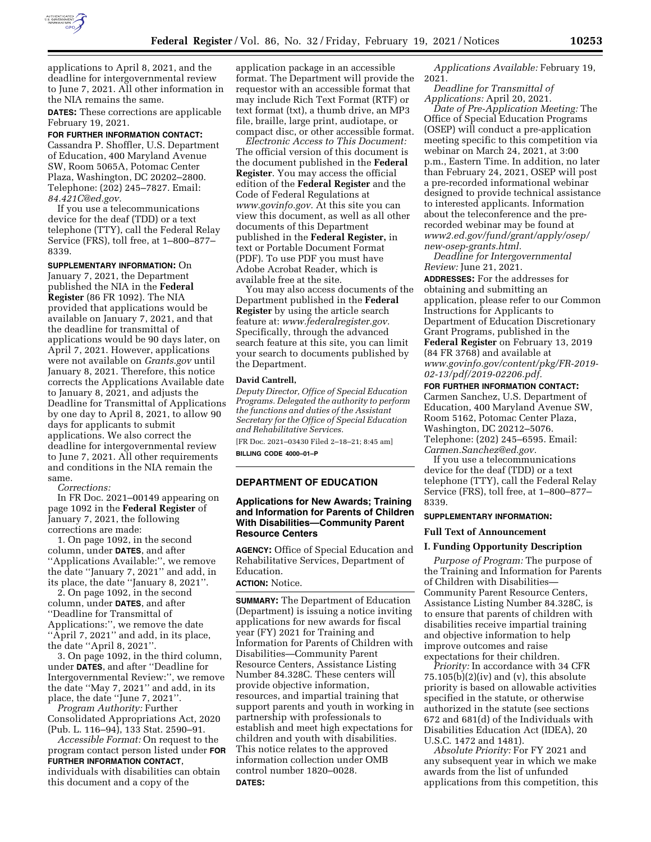

applications to April 8, 2021, and the deadline for intergovernmental review to June 7, 2021. All other information in the NIA remains the same.

**DATES:** These corrections are applicable February 19, 2021.

# **FOR FURTHER INFORMATION CONTACT:**

Cassandra P. Shoffler, U.S. Department of Education, 400 Maryland Avenue SW, Room 5065A, Potomac Center Plaza, Washington, DC 20202–2800. Telephone: (202) 245–7827. Email: *[84.421C@ed.gov.](mailto:84.421C@ed.gov)* 

If you use a telecommunications device for the deaf (TDD) or a text telephone (TTY), call the Federal Relay Service (FRS), toll free, at 1–800–877– 8339.

**SUPPLEMENTARY INFORMATION:** On January 7, 2021, the Department published the NIA in the **Federal Register** (86 FR 1092). The NIA provided that applications would be available on January 7, 2021, and that the deadline for transmittal of applications would be 90 days later, on April 7, 2021. However, applications were not available on *Grants.gov* until January 8, 2021. Therefore, this notice corrects the Applications Available date to January 8, 2021, and adjusts the Deadline for Transmittal of Applications by one day to April 8, 2021, to allow 90 days for applicants to submit applications. We also correct the deadline for intergovernmental review to June 7, 2021. All other requirements and conditions in the NIA remain the same.

*Corrections:* 

In FR Doc. 2021–00149 appearing on page 1092 in the **Federal Register** of January 7, 2021, the following corrections are made:

1. On page 1092, in the second column, under **DATES**, and after ''Applications Available:'', we remove the date ''January 7, 2021'' and add, in its place, the date ''January 8, 2021''.

2. On page 1092, in the second column, under **DATES**, and after ''Deadline for Transmittal of Applications:'', we remove the date ''April 7, 2021'' and add, in its place, the date ''April 8, 2021''.

3. On page 1092, in the third column, under **DATES**, and after ''Deadline for Intergovernmental Review:'', we remove the date ''May 7, 2021'' and add, in its place, the date ''June 7, 2021''.

*Program Authority:* Further Consolidated Appropriations Act, 2020 (Pub. L. 116–94), 133 Stat. 2590–91.

*Accessible Format:* On request to the program contact person listed under **FOR FURTHER INFORMATION CONTACT**, individuals with disabilities can obtain this document and a copy of the

application package in an accessible format. The Department will provide the requestor with an accessible format that may include Rich Text Format (RTF) or text format (txt), a thumb drive, an MP3 file, braille, large print, audiotape, or compact disc, or other accessible format.

*Electronic Access to This Document:*  The official version of this document is the document published in the **Federal Register**. You may access the official edition of the **Federal Register** and the Code of Federal Regulations at *[www.govinfo.gov.](http://www.govinfo.gov)* At this site you can view this document, as well as all other documents of this Department published in the **Federal Register,** in text or Portable Document Format (PDF). To use PDF you must have Adobe Acrobat Reader, which is available free at the site.

You may also access documents of the Department published in the **Federal Register** by using the article search feature at: *[www.federalregister.gov.](http://www.federalregister.gov)*  Specifically, through the advanced search feature at this site, you can limit your search to documents published by the Department.

#### **David Cantrell,**

*Deputy Director, Office of Special Education Programs. Delegated the authority to perform the functions and duties of the Assistant Secretary for the Office of Special Education and Rehabilitative Services.* 

[FR Doc. 2021–03430 Filed 2–18–21; 8:45 am]

**BILLING CODE 4000–01–P** 

#### **DEPARTMENT OF EDUCATION**

### **Applications for New Awards; Training and Information for Parents of Children With Disabilities—Community Parent Resource Centers**

**AGENCY:** Office of Special Education and Rehabilitative Services, Department of Education.

### **ACTION:** Notice.

**SUMMARY:** The Department of Education (Department) is issuing a notice inviting applications for new awards for fiscal year (FY) 2021 for Training and Information for Parents of Children with Disabilities—Community Parent Resource Centers, Assistance Listing Number 84.328C. These centers will provide objective information, resources, and impartial training that support parents and youth in working in partnership with professionals to establish and meet high expectations for children and youth with disabilities. This notice relates to the approved information collection under OMB control number 1820–0028. **DATES:** 

*Applications Available:* February 19, 2021.

*Deadline for Transmittal of Applications:* April 20, 2021.

*Date of Pre-Application Meeting:* The Office of Special Education Programs (OSEP) will conduct a pre-application meeting specific to this competition via webinar on March 24, 2021, at 3:00 p.m., Eastern Time. In addition, no later than February 24, 2021, OSEP will post a pre-recorded informational webinar designed to provide technical assistance to interested applicants. Information about the teleconference and the prerecorded webinar may be found at *[www2.ed.gov/fund/grant/apply/osep/](http://www2.ed.gov/fund/grant/apply/osep/new-osep-grants.html)  [new-osep-grants.html.](http://www2.ed.gov/fund/grant/apply/osep/new-osep-grants.html)* 

*Deadline for Intergovernmental Review:* June 21, 2021.

**ADDRESSES:** For the addresses for obtaining and submitting an application, please refer to our Common Instructions for Applicants to Department of Education Discretionary Grant Programs, published in the **Federal Register** on February 13, 2019 (84 FR 3768) and available at *[www.govinfo.gov/content/pkg/FR-2019-](http://www.govinfo.gov/content/pkg/FR-2019-02-13/pdf/2019-02206.pdf) [02-13/pdf/2019-02206.pdf.](http://www.govinfo.gov/content/pkg/FR-2019-02-13/pdf/2019-02206.pdf)* 

### **FOR FURTHER INFORMATION CONTACT:**

Carmen Sanchez, U.S. Department of Education, 400 Maryland Avenue SW, Room 5162, Potomac Center Plaza, Washington, DC 20212–5076. Telephone: (202) 245–6595. Email: *[Carmen.Sanchez@ed.gov.](mailto:Carmen.Sanchez@ed.gov)* 

If you use a telecommunications device for the deaf (TDD) or a text telephone (TTY), call the Federal Relay Service (FRS), toll free, at 1–800–877– 8339.

### **SUPPLEMENTARY INFORMATION:**

#### **Full Text of Announcement**

#### **I. Funding Opportunity Description**

*Purpose of Program:* The purpose of the Training and Information for Parents of Children with Disabilities— Community Parent Resource Centers, Assistance Listing Number 84.328C, is to ensure that parents of children with disabilities receive impartial training and objective information to help improve outcomes and raise expectations for their children.

*Priority:* In accordance with 34 CFR  $75.105(b)(2)(iv)$  and (v), this absolute priority is based on allowable activities specified in the statute, or otherwise authorized in the statute (see sections 672 and 681(d) of the Individuals with Disabilities Education Act (IDEA), 20 U.S.C. 1472 and 1481).

*Absolute Priority:* For FY 2021 and any subsequent year in which we make awards from the list of unfunded applications from this competition, this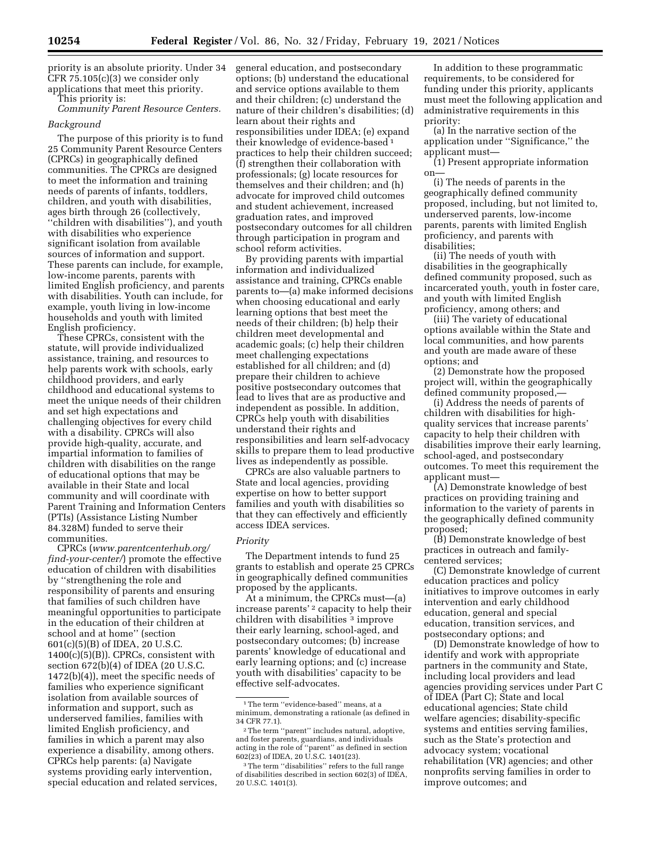priority is an absolute priority. Under 34 CFR 75.105(c)(3) we consider only applications that meet this priority.

This priority is:

*Community Parent Resource Centers.* 

#### *Background*

The purpose of this priority is to fund 25 Community Parent Resource Centers (CPRCs) in geographically defined communities. The CPRCs are designed to meet the information and training needs of parents of infants, toddlers, children, and youth with disabilities, ages birth through 26 (collectively, ''children with disabilities''), and youth with disabilities who experience significant isolation from available sources of information and support. These parents can include, for example, low-income parents, parents with limited English proficiency, and parents with disabilities. Youth can include, for example, youth living in low-income households and youth with limited English proficiency.

These CPRCs, consistent with the statute, will provide individualized assistance, training, and resources to help parents work with schools, early childhood providers, and early childhood and educational systems to meet the unique needs of their children and set high expectations and challenging objectives for every child with a disability. CPRCs will also provide high-quality, accurate, and impartial information to families of children with disabilities on the range of educational options that may be available in their State and local community and will coordinate with Parent Training and Information Centers (PTIs) (Assistance Listing Number 84.328M) funded to serve their communities.

CPRCs (*[www.parentcenterhub.org/](http://www.parentcenterhub.org/find-your-center/) [find-your-center/](http://www.parentcenterhub.org/find-your-center/)*) promote the effective education of children with disabilities by ''strengthening the role and responsibility of parents and ensuring that families of such children have meaningful opportunities to participate in the education of their children at school and at home'' (section 601(c)(5)(B) of IDEA, 20 U.S.C. 1400(c)(5)(B)). CPRCs, consistent with section 672(b)(4) of IDEA (20 U.S.C. 1472(b)(4)), meet the specific needs of families who experience significant isolation from available sources of information and support, such as underserved families, families with limited English proficiency, and families in which a parent may also experience a disability, among others. CPRCs help parents: (a) Navigate systems providing early intervention, special education and related services,

general education, and postsecondary options; (b) understand the educational and service options available to them and their children; (c) understand the nature of their children's disabilities; (d) learn about their rights and responsibilities under IDEA; (e) expand their knowledge of evidence-based 1 practices to help their children succeed; (f) strengthen their collaboration with professionals; (g) locate resources for themselves and their children; and (h) advocate for improved child outcomes and student achievement, increased graduation rates, and improved postsecondary outcomes for all children through participation in program and school reform activities.

By providing parents with impartial information and individualized assistance and training, CPRCs enable parents to—(a) make informed decisions when choosing educational and early learning options that best meet the needs of their children; (b) help their children meet developmental and academic goals; (c) help their children meet challenging expectations established for all children; and (d) prepare their children to achieve positive postsecondary outcomes that lead to lives that are as productive and independent as possible. In addition, CPRCs help youth with disabilities understand their rights and responsibilities and learn self-advocacy skills to prepare them to lead productive lives as independently as possible.

CPRCs are also valuable partners to State and local agencies, providing expertise on how to better support families and youth with disabilities so that they can effectively and efficiently access IDEA services.

### *Priority*

The Department intends to fund 25 grants to establish and operate 25 CPRCs in geographically defined communities proposed by the applicants.

At a minimum, the CPRCs must—(a) increase parents'<sup>2</sup> capacity to help their children with disabilities <sup>3</sup> improve their early learning, school-aged, and postsecondary outcomes; (b) increase parents' knowledge of educational and early learning options; and (c) increase youth with disabilities' capacity to be effective self-advocates.

In addition to these programmatic requirements, to be considered for funding under this priority, applicants must meet the following application and administrative requirements in this priority:

(a) In the narrative section of the application under ''Significance,'' the applicant must—

(1) Present appropriate information on—

(i) The needs of parents in the geographically defined community proposed, including, but not limited to, underserved parents, low-income parents, parents with limited English proficiency, and parents with disabilities;

(ii) The needs of youth with disabilities in the geographically defined community proposed, such as incarcerated youth, youth in foster care, and youth with limited English proficiency, among others; and

(iii) The variety of educational options available within the State and local communities, and how parents and youth are made aware of these options; and

(2) Demonstrate how the proposed project will, within the geographically defined community proposed,—

(i) Address the needs of parents of children with disabilities for highquality services that increase parents' capacity to help their children with disabilities improve their early learning, school-aged, and postsecondary outcomes. To meet this requirement the applicant must—

(A) Demonstrate knowledge of best practices on providing training and information to the variety of parents in the geographically defined community proposed;

(B) Demonstrate knowledge of best practices in outreach and familycentered services;

(C) Demonstrate knowledge of current education practices and policy initiatives to improve outcomes in early intervention and early childhood education, general and special education, transition services, and postsecondary options; and

(D) Demonstrate knowledge of how to identify and work with appropriate partners in the community and State, including local providers and lead agencies providing services under Part C of IDEA (Part C); State and local educational agencies; State child welfare agencies; disability-specific systems and entities serving families, such as the State's protection and advocacy system; vocational rehabilitation (VR) agencies; and other nonprofits serving families in order to improve outcomes; and

<sup>1</sup>The term ''evidence-based'' means, at a minimum, demonstrating a rationale (as defined in 34 CFR 77.1).

<sup>2</sup>The term ''parent'' includes natural, adoptive, and foster parents, guardians, and individuals acting in the role of ''parent'' as defined in section 602(23) of IDEA, 20 U.S.C. 1401(23).

<sup>&</sup>lt;sup>3</sup>The term "disabilities" refers to the full range of disabilities described in section 602(3) of IDEA, 20 U.S.C. 1401(3).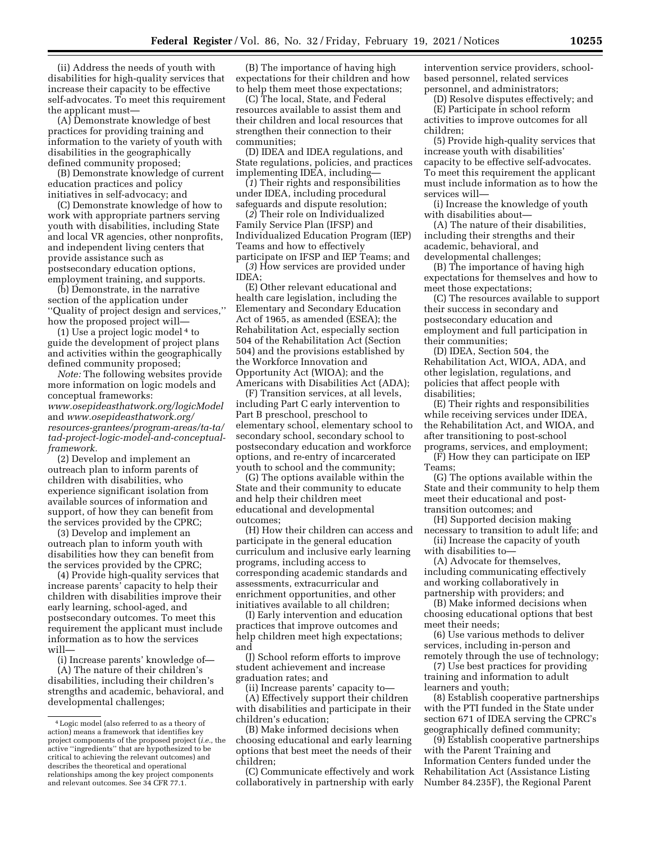(ii) Address the needs of youth with disabilities for high-quality services that increase their capacity to be effective self-advocates. To meet this requirement the applicant must—

(A) Demonstrate knowledge of best practices for providing training and information to the variety of youth with disabilities in the geographically defined community proposed;

(B) Demonstrate knowledge of current education practices and policy initiatives in self-advocacy; and

(C) Demonstrate knowledge of how to work with appropriate partners serving youth with disabilities, including State and local VR agencies, other nonprofits, and independent living centers that provide assistance such as postsecondary education options, employment training, and supports.

(b) Demonstrate, in the narrative section of the application under ''Quality of project design and services,'' how the proposed project will—

(1) Use a project logic model 4 to guide the development of project plans and activities within the geographically defined community proposed;

*Note:* The following websites provide more information on logic models and conceptual frameworks: *[www.osepideasthatwork.org/logicModel](http://www.osepideasthatwork.org/logicModel)*  and *[www.osepideasthatwork.org/](http://www.osepideasthatwork.org/resources-grantees/program-areas/ta-ta/tad-project-logic-model-and-conceptual-framework)  resources-grantees/program-areas/ta-ta/ [tad-project-logic-model-and-conceptual](http://www.osepideasthatwork.org/resources-grantees/program-areas/ta-ta/tad-project-logic-model-and-conceptual-framework)[framework.](http://www.osepideasthatwork.org/resources-grantees/program-areas/ta-ta/tad-project-logic-model-and-conceptual-framework)* 

(2) Develop and implement an outreach plan to inform parents of children with disabilities, who experience significant isolation from available sources of information and support, of how they can benefit from the services provided by the CPRC;

(3) Develop and implement an outreach plan to inform youth with disabilities how they can benefit from the services provided by the CPRC;

(4) Provide high-quality services that increase parents' capacity to help their children with disabilities improve their early learning, school-aged, and postsecondary outcomes. To meet this requirement the applicant must include information as to how the services will—

(i) Increase parents' knowledge of—

(A) The nature of their children's disabilities, including their children's strengths and academic, behavioral, and developmental challenges;

(B) The importance of having high expectations for their children and how to help them meet those expectations;

(C) The local, State, and Federal resources available to assist them and their children and local resources that strengthen their connection to their communities;

(D) IDEA and IDEA regulations, and State regulations, policies, and practices implementing IDEA, including—

(*1*) Their rights and responsibilities under IDEA, including procedural safeguards and dispute resolution;

(*2*) Their role on Individualized Family Service Plan (IFSP) and Individualized Education Program (IEP) Teams and how to effectively participate on IFSP and IEP Teams; and (*3*) How services are provided under

IDEA; (E) Other relevant educational and

health care legislation, including the Elementary and Secondary Education Act of 1965, as amended (ESEA); the Rehabilitation Act, especially section 504 of the Rehabilitation Act (Section 504) and the provisions established by the Workforce Innovation and Opportunity Act (WIOA); and the Americans with Disabilities Act (ADA);

(F) Transition services, at all levels, including Part C early intervention to Part B preschool, preschool to elementary school, elementary school to secondary school, secondary school to postsecondary education and workforce options, and re-entry of incarcerated youth to school and the community;

(G) The options available within the State and their community to educate and help their children meet educational and developmental outcomes;

(H) How their children can access and participate in the general education curriculum and inclusive early learning programs, including access to corresponding academic standards and assessments, extracurricular and enrichment opportunities, and other initiatives available to all children;

(I) Early intervention and education practices that improve outcomes and help children meet high expectations; and

(J) School reform efforts to improve student achievement and increase graduation rates; and

(ii) Increase parents' capacity to— (A) Effectively support their children with disabilities and participate in their children's education;

(B) Make informed decisions when choosing educational and early learning options that best meet the needs of their children;

(C) Communicate effectively and work collaboratively in partnership with early intervention service providers, schoolbased personnel, related services personnel, and administrators;

(D) Resolve disputes effectively; and

(E) Participate in school reform activities to improve outcomes for all children;

(5) Provide high-quality services that increase youth with disabilities' capacity to be effective self-advocates. To meet this requirement the applicant must include information as to how the services will—

(i) Increase the knowledge of youth with disabilities about—

(A) The nature of their disabilities, including their strengths and their academic, behavioral, and developmental challenges;

(B) The importance of having high expectations for themselves and how to meet those expectations;

(C) The resources available to support their success in secondary and postsecondary education and employment and full participation in their communities;

(D) IDEA, Section 504, the Rehabilitation Act, WIOA, ADA, and other legislation, regulations, and policies that affect people with disabilities;

(E) Their rights and responsibilities while receiving services under IDEA, the Rehabilitation Act, and WIOA, and after transitioning to post-school programs, services, and employment;

(F) How they can participate on IEP Teams;

(G) The options available within the State and their community to help them meet their educational and posttransition outcomes; and

(H) Supported decision making necessary to transition to adult life; and

(ii) Increase the capacity of youth with disabilities to—

(A) Advocate for themselves, including communicating effectively and working collaboratively in partnership with providers; and

(B) Make informed decisions when choosing educational options that best meet their needs;

(6) Use various methods to deliver services, including in-person and remotely through the use of technology;

(7) Use best practices for providing training and information to adult learners and youth;

(8) Establish cooperative partnerships with the PTI funded in the State under section 671 of IDEA serving the CPRC's geographically defined community;

(9) Establish cooperative partnerships with the Parent Training and Information Centers funded under the Rehabilitation Act (Assistance Listing Number 84.235F), the Regional Parent

<sup>4</sup>Logic model (also referred to as a theory of action) means a framework that identifies key project components of the proposed project (*i.e.,* the active ''ingredients'' that are hypothesized to be critical to achieving the relevant outcomes) and describes the theoretical and operational relationships among the key project components and relevant outcomes. See 34 CFR 77.1.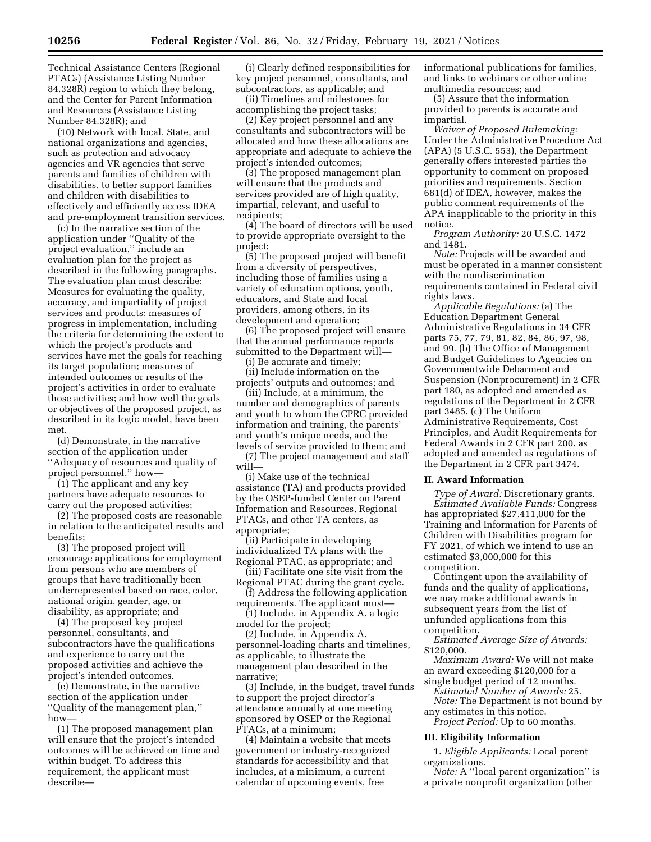Technical Assistance Centers (Regional PTACs) (Assistance Listing Number 84.328R) region to which they belong, and the Center for Parent Information and Resources (Assistance Listing Number 84.328R); and

(10) Network with local, State, and national organizations and agencies, such as protection and advocacy agencies and VR agencies that serve parents and families of children with disabilities, to better support families and children with disabilities to effectively and efficiently access IDEA and pre-employment transition services.

(c) In the narrative section of the application under ''Quality of the project evaluation,'' include an evaluation plan for the project as described in the following paragraphs. The evaluation plan must describe: Measures for evaluating the quality, accuracy, and impartiality of project services and products; measures of progress in implementation, including the criteria for determining the extent to which the project's products and services have met the goals for reaching its target population; measures of intended outcomes or results of the project's activities in order to evaluate those activities; and how well the goals or objectives of the proposed project, as described in its logic model, have been met.

(d) Demonstrate, in the narrative section of the application under ''Adequacy of resources and quality of project personnel,'' how—

(1) The applicant and any key partners have adequate resources to carry out the proposed activities;

(2) The proposed costs are reasonable in relation to the anticipated results and benefits;

(3) The proposed project will encourage applications for employment from persons who are members of groups that have traditionally been underrepresented based on race, color, national origin, gender, age, or disability, as appropriate; and

(4) The proposed key project personnel, consultants, and subcontractors have the qualifications and experience to carry out the proposed activities and achieve the project's intended outcomes.

(e) Demonstrate, in the narrative section of the application under ''Quality of the management plan,'' how—

(1) The proposed management plan will ensure that the project's intended outcomes will be achieved on time and within budget. To address this requirement, the applicant must describe—

(i) Clearly defined responsibilities for key project personnel, consultants, and subcontractors, as applicable; and

(ii) Timelines and milestones for accomplishing the project tasks;

(2) Key project personnel and any consultants and subcontractors will be allocated and how these allocations are appropriate and adequate to achieve the project's intended outcomes;

(3) The proposed management plan will ensure that the products and services provided are of high quality, impartial, relevant, and useful to recipients;

(4) The board of directors will be used to provide appropriate oversight to the project;

(5) The proposed project will benefit from a diversity of perspectives, including those of families using a variety of education options, youth, educators, and State and local providers, among others, in its development and operation;

(6) The proposed project will ensure that the annual performance reports submitted to the Department will— (i) Be accurate and timely;

(ii) Include information on the projects' outputs and outcomes; and

(iii) Include, at a minimum, the number and demographics of parents and youth to whom the CPRC provided information and training, the parents' and youth's unique needs, and the levels of service provided to them; and

(7) The project management and staff will—

(i) Make use of the technical assistance (TA) and products provided by the OSEP-funded Center on Parent Information and Resources, Regional PTACs, and other TA centers, as appropriate;

(ii) Participate in developing individualized TA plans with the Regional PTAC, as appropriate; and

(iii) Facilitate one site visit from the Regional PTAC during the grant cycle.

(f) Address the following application requirements. The applicant must—

(1) Include, in Appendix A, a logic model for the project;

(2) Include, in Appendix A, personnel-loading charts and timelines, as applicable, to illustrate the management plan described in the narrative;

(3) Include, in the budget, travel funds to support the project director's attendance annually at one meeting sponsored by OSEP or the Regional PTACs, at a minimum;

(4) Maintain a website that meets government or industry-recognized standards for accessibility and that includes, at a minimum, a current calendar of upcoming events, free

informational publications for families, and links to webinars or other online multimedia resources; and

(5) Assure that the information provided to parents is accurate and impartial.

*Waiver of Proposed Rulemaking:*  Under the Administrative Procedure Act (APA) (5 U.S.C. 553), the Department generally offers interested parties the opportunity to comment on proposed priorities and requirements. Section 681(d) of IDEA, however, makes the public comment requirements of the APA inapplicable to the priority in this notice.

*Program Authority:* 20 U.S.C. 1472 and 1481.

*Note:* Projects will be awarded and must be operated in a manner consistent with the nondiscrimination requirements contained in Federal civil rights laws.

*Applicable Regulations:* (a) The Education Department General Administrative Regulations in 34 CFR parts 75, 77, 79, 81, 82, 84, 86, 97, 98, and 99. (b) The Office of Management and Budget Guidelines to Agencies on Governmentwide Debarment and Suspension (Nonprocurement) in 2 CFR part 180, as adopted and amended as regulations of the Department in 2 CFR part 3485. (c) The Uniform Administrative Requirements, Cost Principles, and Audit Requirements for Federal Awards in 2 CFR part 200, as adopted and amended as regulations of the Department in 2 CFR part 3474.

### **II. Award Information**

*Type of Award:* Discretionary grants. *Estimated Available Funds:* Congress has appropriated \$27,411,000 for the Training and Information for Parents of Children with Disabilities program for FY 2021, of which we intend to use an estimated \$3,000,000 for this competition.

Contingent upon the availability of funds and the quality of applications, we may make additional awards in subsequent years from the list of unfunded applications from this competition.

*Estimated Average Size of Awards:*  \$120,000.

*Maximum Award:* We will not make an award exceeding \$120,000 for a

single budget period of 12 months. *Estimated Number of Awards:* 25.

*Note:* The Department is not bound by any estimates in this notice.

*Project Period:* Up to 60 months.

#### **III. Eligibility Information**

1. *Eligible Applicants:* Local parent organizations.

*Note:* A "local parent organization" is a private nonprofit organization (other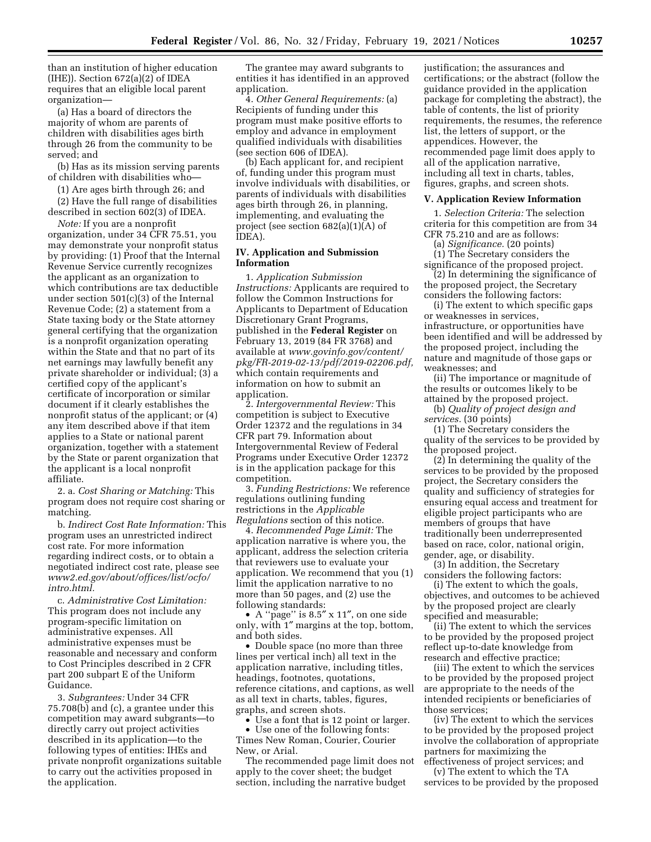than an institution of higher education  $(HEE)$ ). Section  $672(a)(2)$  of IDEA requires that an eligible local parent organization—

(a) Has a board of directors the majority of whom are parents of children with disabilities ages birth through 26 from the community to be served; and

(b) Has as its mission serving parents of children with disabilities who—

(1) Are ages birth through 26; and

(2) Have the full range of disabilities described in section 602(3) of IDEA.

*Note:* If you are a nonprofit organization, under 34 CFR 75.51, you may demonstrate your nonprofit status by providing: (1) Proof that the Internal Revenue Service currently recognizes the applicant as an organization to which contributions are tax deductible under section 501(c)(3) of the Internal Revenue Code; (2) a statement from a State taxing body or the State attorney general certifying that the organization is a nonprofit organization operating within the State and that no part of its net earnings may lawfully benefit any private shareholder or individual; (3) a certified copy of the applicant's certificate of incorporation or similar document if it clearly establishes the nonprofit status of the applicant; or (4) any item described above if that item applies to a State or national parent organization, together with a statement by the State or parent organization that the applicant is a local nonprofit affiliate.

2. a. *Cost Sharing or Matching:* This program does not require cost sharing or matching.

b. *Indirect Cost Rate Information:* This program uses an unrestricted indirect cost rate. For more information regarding indirect costs, or to obtain a negotiated indirect cost rate, please see *[www2.ed.gov/about/offices/list/ocfo/](http://www2.ed.gov/about/offices/list/ocfo/intro.html)  [intro.html.](http://www2.ed.gov/about/offices/list/ocfo/intro.html)* 

c. *Administrative Cost Limitation:*  This program does not include any program-specific limitation on administrative expenses. All administrative expenses must be reasonable and necessary and conform to Cost Principles described in 2 CFR part 200 subpart E of the Uniform Guidance.

3. *Subgrantees:* Under 34 CFR 75.708(b) and (c), a grantee under this competition may award subgrants—to directly carry out project activities described in its application—to the following types of entities: IHEs and private nonprofit organizations suitable to carry out the activities proposed in the application.

The grantee may award subgrants to entities it has identified in an approved application.

4. *Other General Requirements:* (a) Recipients of funding under this program must make positive efforts to employ and advance in employment qualified individuals with disabilities (see section 606 of IDEA).

(b) Each applicant for, and recipient of, funding under this program must involve individuals with disabilities, or parents of individuals with disabilities ages birth through 26, in planning, implementing, and evaluating the project (see section 682(a)(1)(A) of IDEA).

### **IV. Application and Submission Information**

1. *Application Submission Instructions:* Applicants are required to follow the Common Instructions for Applicants to Department of Education Discretionary Grant Programs, published in the **Federal Register** on February 13, 2019 (84 FR 3768) and available at *[www.govinfo.gov/content/](http://www.govinfo.gov/content/pkg/FR-2019-02-13/pdf/2019-02206.pdf)  [pkg/FR-2019-02-13/pdf/2019-02206.pdf,](http://www.govinfo.gov/content/pkg/FR-2019-02-13/pdf/2019-02206.pdf)*  which contain requirements and information on how to submit an application.

2. *Intergovernmental Review:* This competition is subject to Executive Order 12372 and the regulations in 34 CFR part 79. Information about Intergovernmental Review of Federal Programs under Executive Order 12372 is in the application package for this competition.

3. *Funding Restrictions:* We reference regulations outlining funding restrictions in the *Applicable Regulations* section of this notice.

4. *Recommended Page Limit:* The application narrative is where you, the applicant, address the selection criteria that reviewers use to evaluate your application. We recommend that you (1) limit the application narrative to no more than 50 pages, and (2) use the following standards:

• A ''page'' is 8.5″ x 11″, on one side only, with 1″ margins at the top, bottom, and both sides.

• Double space (no more than three lines per vertical inch) all text in the application narrative, including titles, headings, footnotes, quotations, reference citations, and captions, as well as all text in charts, tables, figures, graphs, and screen shots.

• Use a font that is 12 point or larger.

• Use one of the following fonts: Times New Roman, Courier, Courier New, or Arial.

The recommended page limit does not apply to the cover sheet; the budget section, including the narrative budget

justification; the assurances and certifications; or the abstract (follow the guidance provided in the application package for completing the abstract), the table of contents, the list of priority requirements, the resumes, the reference list, the letters of support, or the appendices. However, the recommended page limit does apply to all of the application narrative, including all text in charts, tables, figures, graphs, and screen shots.

### **V. Application Review Information**

1. *Selection Criteria:* The selection criteria for this competition are from 34 CFR 75.210 and are as follows:

(a) *Significance.* (20 points)

(1) The Secretary considers the significance of the proposed project.

(2) In determining the significance of the proposed project, the Secretary considers the following factors:

(i) The extent to which specific gaps or weaknesses in services, infrastructure, or opportunities have been identified and will be addressed by the proposed project, including the nature and magnitude of those gaps or weaknesses; and

(ii) The importance or magnitude of the results or outcomes likely to be attained by the proposed project.

(b) *Quality of project design and services.* (30 points)

(1) The Secretary considers the quality of the services to be provided by the proposed project.

(2) In determining the quality of the services to be provided by the proposed project, the Secretary considers the quality and sufficiency of strategies for ensuring equal access and treatment for eligible project participants who are members of groups that have traditionally been underrepresented based on race, color, national origin, gender, age, or disability.

(3) In addition, the Secretary considers the following factors:

(i) The extent to which the goals, objectives, and outcomes to be achieved by the proposed project are clearly specified and measurable;

(ii) The extent to which the services to be provided by the proposed project reflect up-to-date knowledge from research and effective practice;

(iii) The extent to which the services to be provided by the proposed project are appropriate to the needs of the intended recipients or beneficiaries of those services;

(iv) The extent to which the services to be provided by the proposed project involve the collaboration of appropriate partners for maximizing the

effectiveness of project services; and (v) The extent to which the TA services to be provided by the proposed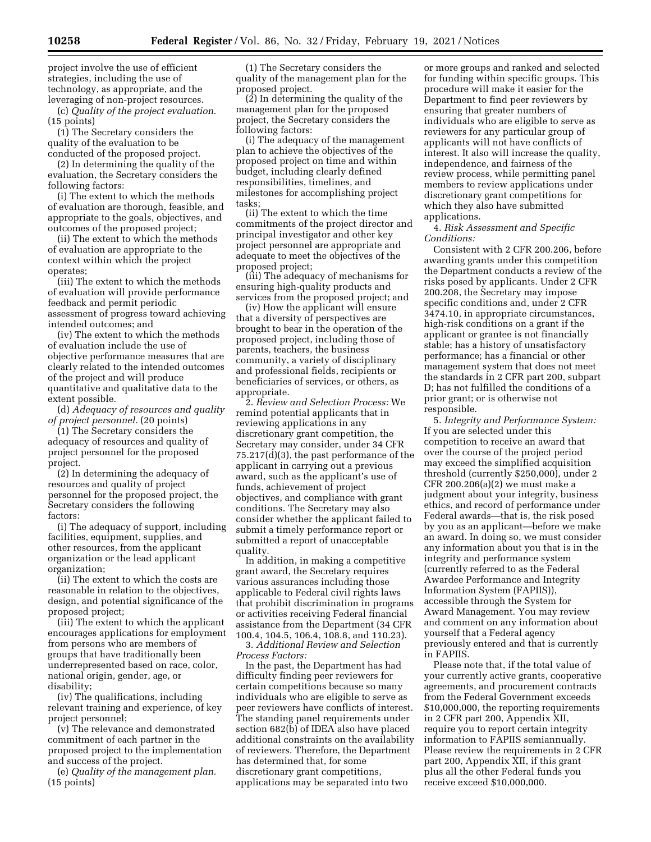project involve the use of efficient strategies, including the use of technology, as appropriate, and the leveraging of non-project resources.

(c) *Quality of the project evaluation.*  (15 points)

(1) The Secretary considers the quality of the evaluation to be conducted of the proposed project.

(2) In determining the quality of the evaluation, the Secretary considers the following factors:

(i) The extent to which the methods of evaluation are thorough, feasible, and appropriate to the goals, objectives, and outcomes of the proposed project;

(ii) The extent to which the methods of evaluation are appropriate to the context within which the project operates;

(iii) The extent to which the methods of evaluation will provide performance feedback and permit periodic assessment of progress toward achieving intended outcomes; and

(iv) The extent to which the methods of evaluation include the use of objective performance measures that are clearly related to the intended outcomes of the project and will produce quantitative and qualitative data to the extent possible.

(d) *Adequacy of resources and quality of project personnel.* (20 points)

(1) The Secretary considers the adequacy of resources and quality of project personnel for the proposed project.

(2) In determining the adequacy of resources and quality of project personnel for the proposed project, the Secretary considers the following factors:

(i) The adequacy of support, including facilities, equipment, supplies, and other resources, from the applicant organization or the lead applicant organization;

(ii) The extent to which the costs are reasonable in relation to the objectives, design, and potential significance of the proposed project;

(iii) The extent to which the applicant encourages applications for employment from persons who are members of groups that have traditionally been underrepresented based on race, color, national origin, gender, age, or disability;

(iv) The qualifications, including relevant training and experience, of key project personnel;

(v) The relevance and demonstrated commitment of each partner in the proposed project to the implementation and success of the project.

(e) *Quality of the management plan.*  (15 points)

(1) The Secretary considers the quality of the management plan for the proposed project.

(2) In determining the quality of the management plan for the proposed project, the Secretary considers the following factors:

(i) The adequacy of the management plan to achieve the objectives of the proposed project on time and within budget, including clearly defined responsibilities, timelines, and milestones for accomplishing project tasks;

(ii) The extent to which the time commitments of the project director and principal investigator and other key project personnel are appropriate and adequate to meet the objectives of the proposed project;

(iii) The adequacy of mechanisms for ensuring high-quality products and services from the proposed project; and

(iv) How the applicant will ensure that a diversity of perspectives are brought to bear in the operation of the proposed project, including those of parents, teachers, the business community, a variety of disciplinary and professional fields, recipients or beneficiaries of services, or others, as appropriate.

2. *Review and Selection Process:* We remind potential applicants that in reviewing applications in any discretionary grant competition, the Secretary may consider, under 34 CFR 75.217(d)(3), the past performance of the applicant in carrying out a previous award, such as the applicant's use of funds, achievement of project objectives, and compliance with grant conditions. The Secretary may also consider whether the applicant failed to submit a timely performance report or submitted a report of unacceptable quality.

In addition, in making a competitive grant award, the Secretary requires various assurances including those applicable to Federal civil rights laws that prohibit discrimination in programs or activities receiving Federal financial assistance from the Department (34 CFR 100.4, 104.5, 106.4, 108.8, and 110.23).

3. *Additional Review and Selection Process Factors:* 

In the past, the Department has had difficulty finding peer reviewers for certain competitions because so many individuals who are eligible to serve as peer reviewers have conflicts of interest. The standing panel requirements under section 682(b) of IDEA also have placed additional constraints on the availability of reviewers. Therefore, the Department has determined that, for some discretionary grant competitions, applications may be separated into two

or more groups and ranked and selected for funding within specific groups. This procedure will make it easier for the Department to find peer reviewers by ensuring that greater numbers of individuals who are eligible to serve as reviewers for any particular group of applicants will not have conflicts of interest. It also will increase the quality, independence, and fairness of the review process, while permitting panel members to review applications under discretionary grant competitions for which they also have submitted applications.

4. *Risk Assessment and Specific Conditions:* 

Consistent with 2 CFR 200.206, before awarding grants under this competition the Department conducts a review of the risks posed by applicants. Under 2 CFR 200.208, the Secretary may impose specific conditions and, under 2 CFR 3474.10, in appropriate circumstances, high-risk conditions on a grant if the applicant or grantee is not financially stable; has a history of unsatisfactory performance; has a financial or other management system that does not meet the standards in 2 CFR part 200, subpart D; has not fulfilled the conditions of a prior grant; or is otherwise not responsible.

5. *Integrity and Performance System:*  If you are selected under this competition to receive an award that over the course of the project period may exceed the simplified acquisition threshold (currently \$250,000), under 2 CFR 200.206(a)(2) we must make a judgment about your integrity, business ethics, and record of performance under Federal awards—that is, the risk posed by you as an applicant—before we make an award. In doing so, we must consider any information about you that is in the integrity and performance system (currently referred to as the Federal Awardee Performance and Integrity Information System (FAPIIS)), accessible through the System for Award Management. You may review and comment on any information about yourself that a Federal agency previously entered and that is currently in FAPIIS.

Please note that, if the total value of your currently active grants, cooperative agreements, and procurement contracts from the Federal Government exceeds \$10,000,000, the reporting requirements in 2 CFR part 200, Appendix XII, require you to report certain integrity information to FAPIIS semiannually. Please review the requirements in 2 CFR part 200, Appendix XII, if this grant plus all the other Federal funds you receive exceed \$10,000,000.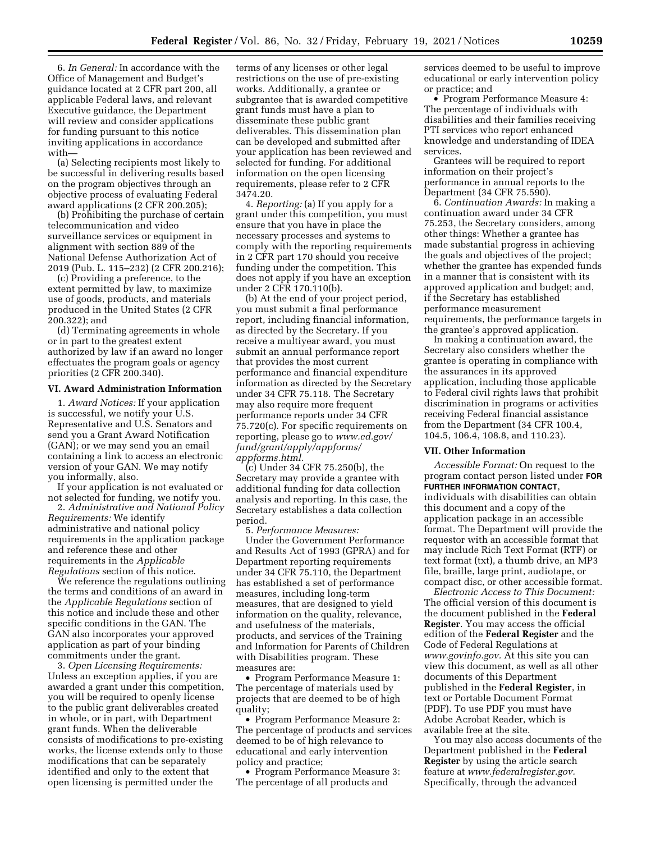6. *In General:* In accordance with the Office of Management and Budget's guidance located at 2 CFR part 200, all applicable Federal laws, and relevant Executive guidance, the Department will review and consider applications for funding pursuant to this notice inviting applications in accordance with—

(a) Selecting recipients most likely to be successful in delivering results based on the program objectives through an objective process of evaluating Federal award applications (2 CFR 200.205);

(b) Prohibiting the purchase of certain telecommunication and video surveillance services or equipment in alignment with section 889 of the National Defense Authorization Act of 2019 (Pub. L. 115–232) (2 CFR 200.216);

(c) Providing a preference, to the extent permitted by law, to maximize use of goods, products, and materials produced in the United States (2 CFR 200.322); and

(d) Terminating agreements in whole or in part to the greatest extent authorized by law if an award no longer effectuates the program goals or agency priorities (2 CFR 200.340).

### **VI. Award Administration Information**

1. *Award Notices:* If your application is successful, we notify your U.S. Representative and U.S. Senators and send you a Grant Award Notification (GAN); or we may send you an email containing a link to access an electronic version of your GAN. We may notify you informally, also.

If your application is not evaluated or not selected for funding, we notify you.

2. *Administrative and National Policy Requirements:* We identify administrative and national policy requirements in the application package and reference these and other requirements in the *Applicable Regulations* section of this notice.

We reference the regulations outlining the terms and conditions of an award in the *Applicable Regulations* section of this notice and include these and other specific conditions in the GAN. The GAN also incorporates your approved application as part of your binding commitments under the grant.

3. *Open Licensing Requirements:*  Unless an exception applies, if you are awarded a grant under this competition, you will be required to openly license to the public grant deliverables created in whole, or in part, with Department grant funds. When the deliverable consists of modifications to pre-existing works, the license extends only to those modifications that can be separately identified and only to the extent that open licensing is permitted under the

terms of any licenses or other legal restrictions on the use of pre-existing works. Additionally, a grantee or subgrantee that is awarded competitive grant funds must have a plan to disseminate these public grant deliverables. This dissemination plan can be developed and submitted after your application has been reviewed and selected for funding. For additional information on the open licensing requirements, please refer to 2 CFR 3474.20.

4. *Reporting:* (a) If you apply for a grant under this competition, you must ensure that you have in place the necessary processes and systems to comply with the reporting requirements in 2 CFR part 170 should you receive funding under the competition. This does not apply if you have an exception under 2 CFR 170.110(b).

(b) At the end of your project period, you must submit a final performance report, including financial information, as directed by the Secretary. If you receive a multiyear award, you must submit an annual performance report that provides the most current performance and financial expenditure information as directed by the Secretary under 34 CFR 75.118. The Secretary may also require more frequent performance reports under 34 CFR 75.720(c). For specific requirements on reporting, please go to *[www.ed.gov/](http://www.ed.gov/fund/grant/apply/appforms/appforms.html) [fund/grant/apply/appforms/](http://www.ed.gov/fund/grant/apply/appforms/appforms.html) [appforms.html.](http://www.ed.gov/fund/grant/apply/appforms/appforms.html)* 

(c) Under 34 CFR 75.250(b), the Secretary may provide a grantee with additional funding for data collection analysis and reporting. In this case, the Secretary establishes a data collection period.

5. *Performance Measures:* 

Under the Government Performance and Results Act of 1993 (GPRA) and for Department reporting requirements under 34 CFR 75.110, the Department has established a set of performance measures, including long-term measures, that are designed to yield information on the quality, relevance, and usefulness of the materials, products, and services of the Training and Information for Parents of Children with Disabilities program. These measures are:

• Program Performance Measure 1: The percentage of materials used by projects that are deemed to be of high quality;

• Program Performance Measure 2: The percentage of products and services deemed to be of high relevance to educational and early intervention policy and practice;

• Program Performance Measure 3: The percentage of all products and

services deemed to be useful to improve educational or early intervention policy or practice; and

• Program Performance Measure 4: The percentage of individuals with disabilities and their families receiving PTI services who report enhanced knowledge and understanding of IDEA services.

Grantees will be required to report information on their project's performance in annual reports to the Department (34 CFR 75.590).

6. *Continuation Awards:* In making a continuation award under 34 CFR 75.253, the Secretary considers, among other things: Whether a grantee has made substantial progress in achieving the goals and objectives of the project; whether the grantee has expended funds in a manner that is consistent with its approved application and budget; and, if the Secretary has established performance measurement requirements, the performance targets in the grantee's approved application.

In making a continuation award, the Secretary also considers whether the grantee is operating in compliance with the assurances in its approved application, including those applicable to Federal civil rights laws that prohibit discrimination in programs or activities receiving Federal financial assistance from the Department (34 CFR 100.4, 104.5, 106.4, 108.8, and 110.23).

### **VII. Other Information**

*Accessible Format:* On request to the program contact person listed under **FOR FURTHER INFORMATION CONTACT**, individuals with disabilities can obtain this document and a copy of the application package in an accessible format. The Department will provide the requestor with an accessible format that may include Rich Text Format (RTF) or text format (txt), a thumb drive, an MP3 file, braille, large print, audiotape, or compact disc, or other accessible format.

*Electronic Access to This Document:*  The official version of this document is the document published in the **Federal Register**. You may access the official edition of the **Federal Register** and the Code of Federal Regulations at *[www.govinfo.gov.](http://www.govinfo.gov)* At this site you can view this document, as well as all other documents of this Department published in the **Federal Register**, in text or Portable Document Format (PDF). To use PDF you must have Adobe Acrobat Reader, which is available free at the site.

You may also access documents of the Department published in the **Federal Register** by using the article search feature at *[www.federalregister.gov.](http://www.federalregister.gov)*  Specifically, through the advanced